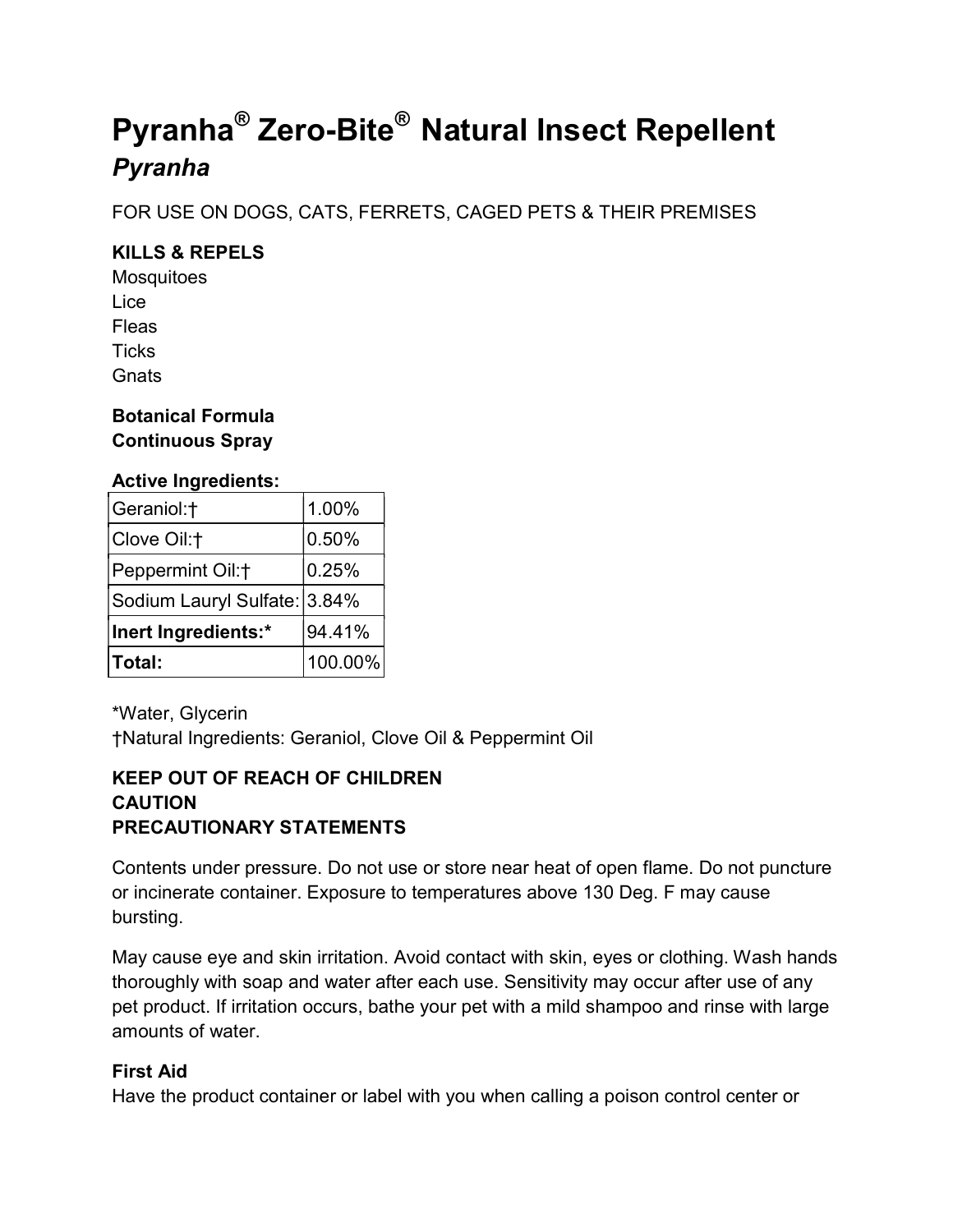# Pyranha<sup>®</sup> Zero-Bite<sup>®</sup> Natural Insect Repellent Pyranha

FOR USE ON DOGS, CATS, FERRETS, CAGED PETS & THEIR PREMISES

# KILLS & REPELS

**Mosquitoes** Lice Fleas **Ticks Gnats** 

# Botanical Formula Continuous Spray

# Active Ingredients:

| Geraniol:†                   | 1.00%   |
|------------------------------|---------|
| Clove Oil:†                  | 0.50%   |
| Peppermint Oil:+             | 0.25%   |
| Sodium Lauryl Sulfate: 3.84% |         |
| Inert Ingredients:*          | 94.41%  |
| <b>Total:</b>                | 100.00% |

\*Water, Glycerin †Natural Ingredients: Geraniol, Clove Oil & Peppermint Oil

# KEEP OUT OF REACH OF CHILDREN **CAUTION** PRECAUTIONARY STATEMENTS

Contents under pressure. Do not use or store near heat of open flame. Do not puncture or incinerate container. Exposure to temperatures above 130 Deg. F may cause bursting.

May cause eye and skin irritation. Avoid contact with skin, eyes or clothing. Wash hands thoroughly with soap and water after each use. Sensitivity may occur after use of any pet product. If irritation occurs, bathe your pet with a mild shampoo and rinse with large amounts of water.

# First Aid

Have the product container or label with you when calling a poison control center or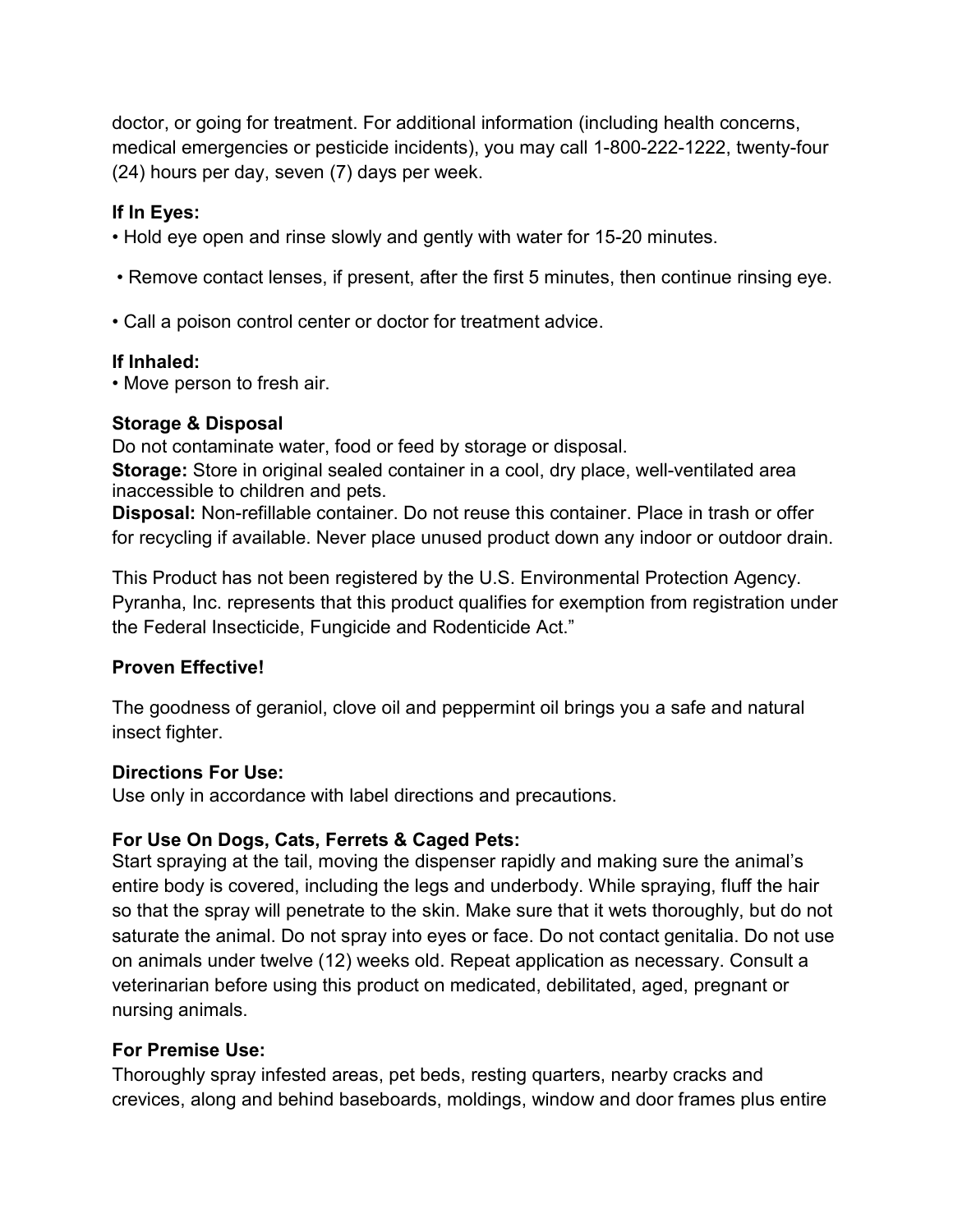doctor, or going for treatment. For additional information (including health concerns, medical emergencies or pesticide incidents), you may call 1-800-222-1222, twenty-four (24) hours per day, seven (7) days per week.

# If In Eyes:

• Hold eye open and rinse slowly and gently with water for 15-20 minutes.

- Remove contact lenses, if present, after the first 5 minutes, then continue rinsing eye.
- Call a poison control center or doctor for treatment advice.

#### If Inhaled:

• Move person to fresh air.

#### Storage & Disposal

Do not contaminate water, food or feed by storage or disposal.

Storage: Store in original sealed container in a cool, dry place, well-ventilated area inaccessible to children and pets.

Disposal: Non-refillable container. Do not reuse this container. Place in trash or offer for recycling if available. Never place unused product down any indoor or outdoor drain.

This Product has not been registered by the U.S. Environmental Protection Agency. Pyranha, Inc. represents that this product qualifies for exemption from registration under the Federal Insecticide, Fungicide and Rodenticide Act."

# Proven Effective!

The goodness of geraniol, clove oil and peppermint oil brings you a safe and natural insect fighter.

#### Directions For Use:

Use only in accordance with label directions and precautions.

# For Use On Dogs, Cats, Ferrets & Caged Pets:

Start spraying at the tail, moving the dispenser rapidly and making sure the animal's entire body is covered, including the legs and underbody. While spraying, fluff the hair so that the spray will penetrate to the skin. Make sure that it wets thoroughly, but do not saturate the animal. Do not spray into eyes or face. Do not contact genitalia. Do not use on animals under twelve (12) weeks old. Repeat application as necessary. Consult a veterinarian before using this product on medicated, debilitated, aged, pregnant or nursing animals.

# For Premise Use:

Thoroughly spray infested areas, pet beds, resting quarters, nearby cracks and crevices, along and behind baseboards, moldings, window and door frames plus entire